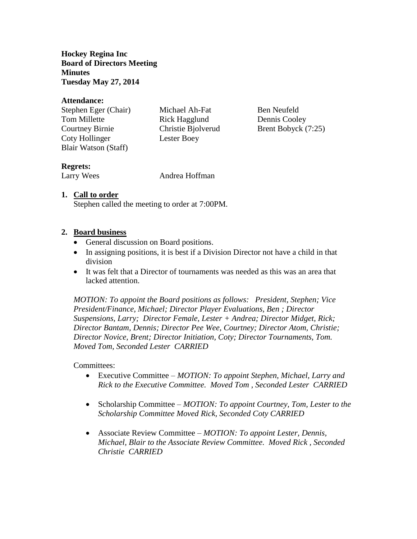**Hockey Regina Inc Board of Directors Meeting Minutes Tuesday May 27, 2014**

#### **Attendance:**

Stephen Eger (Chair) Michael Ah-Fat Ben Neufeld Tom Millette **Rick Hagglund** Dennis Cooley Courtney Birnie Christie Bjolverud Brent Bobyck (7:25) Coty Hollinger Lester Boey Blair Watson (Staff)

# **Regrets:**

Larry Wees Andrea Hoffman

# **1. Call to order**

Stephen called the meeting to order at 7:00PM.

### **2. Board business**

- General discussion on Board positions.
- In assigning positions, it is best if a Division Director not have a child in that division
- It was felt that a Director of tournaments was needed as this was an area that lacked attention.

*MOTION: To appoint the Board positions as follows: President, Stephen; Vice President/Finance, Michael; Director Player Evaluations, Ben ; Director Suspensions, Larry; Director Female, Lester + Andrea; Director Midget, Rick; Director Bantam, Dennis; Director Pee Wee, Courtney; Director Atom, Christie; Director Novice, Brent; Director Initiation, Coty; Director Tournaments, Tom. Moved Tom, Seconded Lester CARRIED*

#### Committees:

- Executive Committee *MOTION: To appoint Stephen, Michael, Larry and Rick to the Executive Committee. Moved Tom , Seconded Lester CARRIED*
- Scholarship Committee *MOTION: To appoint Courtney, Tom, Lester to the Scholarship Committee Moved Rick, Seconded Coty CARRIED*
- Associate Review Committee *MOTION: To appoint Lester, Dennis, Michael, Blair to the Associate Review Committee. Moved Rick , Seconded Christie CARRIED*